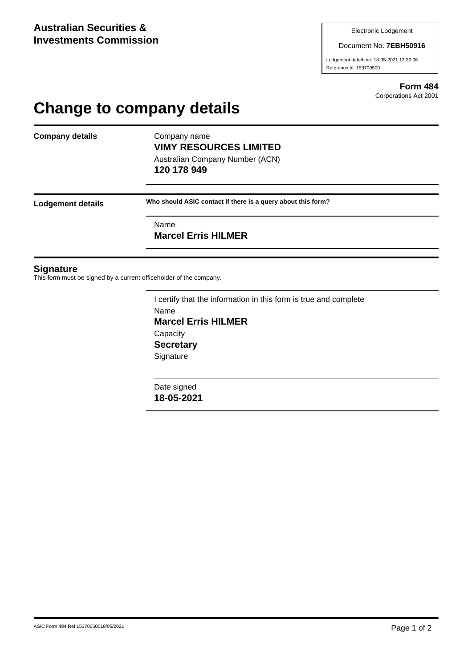#### Document No. **7EBH50916**

Lodgement date/time: 18-05-2021 13:32:06 Reference Id: 153700500

> **Form 484** Corporations Act 2001

# **Change to company details**

**Company details** Company name

**VIMY RESOURCES LIMITED** Australian Company Number (ACN) **120 178 949**

**Lodgement details Who should ASIC contact if there is a query about this form?**

Name

**Marcel Erris HILMER**

#### **Signature**

This form must be signed by a current officeholder of the company.

I certify that the information in this form is true and complete Name **Marcel Erris HILMER Capacity Secretary Signature** 

Date signed **18-05-2021**